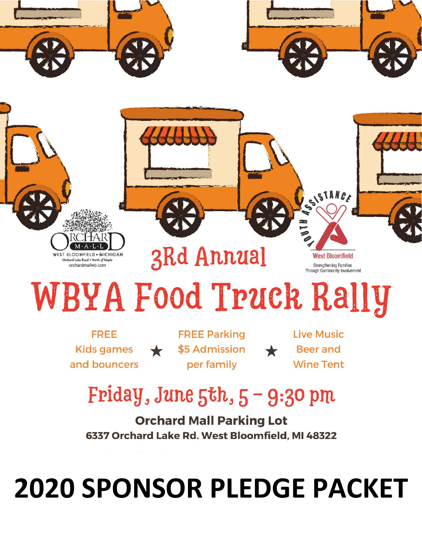

# **2020 SPONSOR PLEDGE PACKET**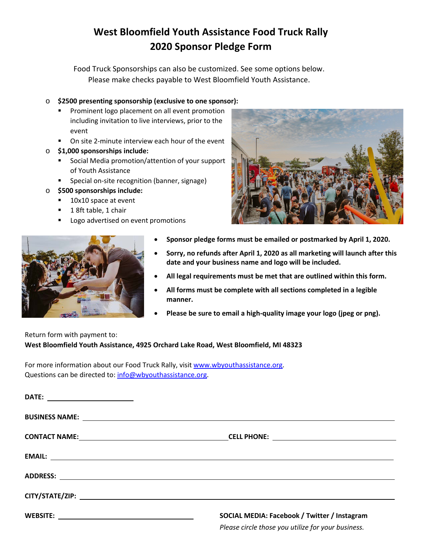# **West Bloomfield Youth Assistance Food Truck Rally 2020 Sponsor Pledge Form**

Food Truck Sponsorships can also be customized. See some options below. Please make checks payable to West Bloomfield Youth Assistance.

### o **\$2500 presenting sponsorship (exclusive to one sponsor):**

- Prominent logo placement on all event promotion including invitation to live interviews, prior to the event
- **•** On site 2-minute interview each hour of the event
- o **\$1,000 sponsorships include:**
	- **Social Media promotion/attention of your support** of Youth Assistance
	- Special on-site recognition (banner, signage)
- o **\$500 sponsorships include:**
	- 10x10 space at event
	- 1 8ft table, 1 chair
	- Logo advertised on event promotions





- **Sponsor pledge forms must be emailed or postmarked by April 1, 2020.**
- **Sorry, no refunds after April 1, 2020 as all marketing will launch after this date and your business name and logo will be included.**
- **All legal requirements must be met that are outlined within this form.**
- **All forms must be complete with all sections completed in a legible manner.**
- **Please be sure to email a high-quality image your logo (jpeg or png).**

# Return form with payment to: **West Bloomfield Youth Assistance, 4925 Orchard Lake Road, West Bloomfield, MI 48323**

For more information about our Food Truck Rally, visit [www.wbyouthassistance.org.](http://www.wbyouthassistance.org/) Questions can be directed to: [info@wbyouthassistance.org.](mailto:info@wbyouthassistance.org)

| DATE: _______________________ |                                                                                                    |
|-------------------------------|----------------------------------------------------------------------------------------------------|
|                               |                                                                                                    |
|                               |                                                                                                    |
|                               |                                                                                                    |
|                               |                                                                                                    |
|                               | CITY/STATE/ZIP: www.astronometer.com/web/2012/2012/03/2012                                         |
|                               | SOCIAL MEDIA: Facebook / Twitter / Instagram<br>Please circle those you utilize for your business. |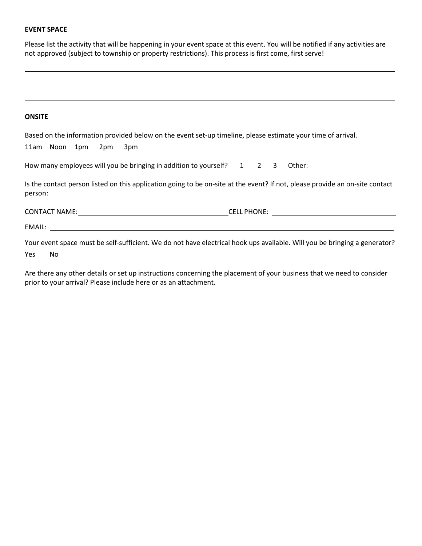#### **EVENT SPACE**

Please list the activity that will be happening in your event space at this event. You will be notified if any activities are not approved (subject to township or property restrictions). This process is first come, first serve!

#### **ONSITE**

|         |                   | Based on the information provided below on the event set-up timeline, please estimate your time of arrival.                                                                                                                         |  |  |                                                                                                                                                                                                                                    |
|---------|-------------------|-------------------------------------------------------------------------------------------------------------------------------------------------------------------------------------------------------------------------------------|--|--|------------------------------------------------------------------------------------------------------------------------------------------------------------------------------------------------------------------------------------|
|         | 11am Noon 1pm 2pm | 3pm                                                                                                                                                                                                                                 |  |  |                                                                                                                                                                                                                                    |
|         |                   | How many employees will you be bringing in addition to yourself? $1 \quad 2 \quad 3$                                                                                                                                                |  |  | Other: $\rule{1em}{0.15mm}$                                                                                                                                                                                                        |
| person: |                   |                                                                                                                                                                                                                                     |  |  | Is the contact person listed on this application going to be on-site at the event? If not, please provide an on-site contact                                                                                                       |
|         |                   | <b>CONTACT NAME:</b> THE STATE OF THE STATE OF THE STATE OF THE STATE OF THE STATE OF THE STATE OF THE STATE OF THE STATE OF THE STATE OF THE STATE OF THE STATE OF THE STATE OF THE STATE OF THE STATE OF THE STATE OF THE STATE O |  |  | <b>CELL PHONE:</b> The contract of the contract of the contract of the contract of the contract of the contract of the contract of the contract of the contract of the contract of the contract of the contract of the contract of |
|         | EMAIL:            |                                                                                                                                                                                                                                     |  |  |                                                                                                                                                                                                                                    |
|         |                   |                                                                                                                                                                                                                                     |  |  | Your event space must be self-sufficient. We do not have electrical hook ups available. Will you be bringing a generator?                                                                                                          |

Yes No

Are there any other details or set up instructions concerning the placement of your business that we need to consider prior to your arrival? Please include here or as an attachment.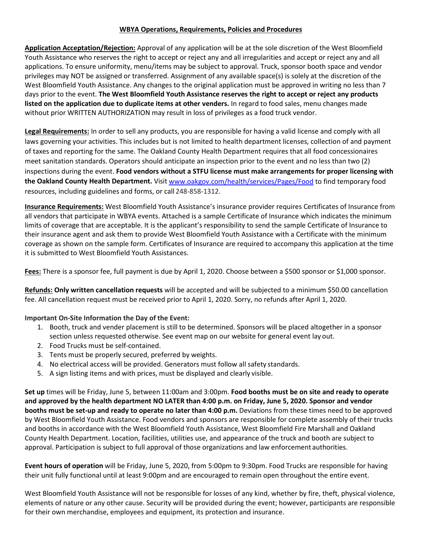## **WBYA Operations, Requirements, Policies and Procedures**

**Application Acceptation/Rejection:** Approval of any application will be at the sole discretion of the West Bloomfield Youth Assistance who reserves the right to accept or reject any and all irregularities and accept or reject any and all applications. To ensure uniformity, menu/items may be subject to approval. Truck, sponsor booth space and vendor privileges may NOT be assigned or transferred. Assignment of any available space(s) is solely at the discretion of the West Bloomfield Youth Assistance. Any changes to the original application must be approved in writing no less than 7 days prior to the event. **The West Bloomfield Youth Assistance reserves the right to accept or reject any products listed on the application due to duplicate items at other venders.** In regard to food sales, menu changes made without prior WRITTEN AUTHORIZATION may result in loss of privileges as a food truck vendor.

**Legal Requirements:** In order to sell any products, you are responsible for having a valid license and comply with all laws governing your activities. This includes but is not limited to health department licenses, collection of and payment of taxes and reporting for the same. The Oakland County Health Department requires that all food concessionaires meet sanitation standards. Operators should anticipate an inspection prior to the event and no less than two (2) inspections during the event. **Food vendors without a STFU license must make arrangements for proper licensing with the Oakland County Health Department.** Visit [www.oakgov.com/health/services/Pages/Food](http://www.oakgov.com/health/services/Pages/Food) to find temporary food resources, including guidelines and forms, or call 248-858-1312.

**Insurance Requirements:** West Bloomfield Youth Assistance's insurance provider requires Certificates of Insurance from all vendors that participate in WBYA events. Attached is a sample Certificate of Insurance which indicates the minimum limits of coverage that are acceptable. It is the applicant's responsibility to send the sample Certificate of Insurance to their insurance agent and ask them to provide West Bloomfield Youth Assistance with a Certificate with the minimum coverage as shown on the sample form. Certificates of Insurance are required to accompany this application at the time it is submitted to West Bloomfield Youth Assistances.

**Fees:** There is a sponsor fee, full payment is due by April 1, 2020. Choose between a \$500 sponsor or \$1,000 sponsor.

**Refunds: Only written cancellation requests** will be accepted and will be subjected to a minimum \$50.00 cancellation fee. All cancellation request must be received prior to April 1, 2020. Sorry, no refunds after April 1, 2020.

# **Important On-Site Information the Day of the Event:**

- 1. Booth, truck and vender placement is still to be determined. Sponsors will be placed altogether in a sponsor section unless requested otherwise. See event map on our website for general event lay out.
- 2. Food Trucks must be self-contained.
- 3. Tents must be properly secured, preferred by weights.
- 4. No electrical access will be provided. Generators must follow all safety standards.
- 5. A sign listing items and with prices, must be displayed and clearly visible.

**Set up** times will be Friday, June 5, between 11:00am and 3:00pm. **Food booths must be on site and ready to operate and approved by the health department NO LATER than 4:00 p.m. on Friday, June 5, 2020. Sponsor and vendor booths must be set-up and ready to operate no later than 4:00 p.m.** Deviations from these times need to be approved by West Bloomfield Youth Assistance. Food vendors and sponsors are responsible for complete assembly of their trucks and booths in accordance with the West Bloomfield Youth Assistance, West Bloomfield Fire Marshall and Oakland County Health Department. Location, facilities, utilities use, and appearance of the truck and booth are subject to approval. Participation is subject to full approval of those organizations and law enforcement authorities.

**Event hours of operation** will be Friday, June 5, 2020, from 5:00pm to 9:30pm. Food Trucks are responsible for having their unit fully functional until at least 9:00pm and are encouraged to remain open throughout the entire event.

West Bloomfield Youth Assistance will not be responsible for losses of any kind, whether by fire, theft, physical violence, elements of nature or any other cause. Security will be provided during the event; however, participants are responsible for their own merchandise, employees and equipment, its protection and insurance.